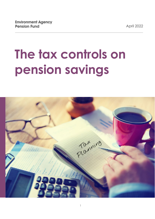April 2022

# **The tax controls on pension savings**

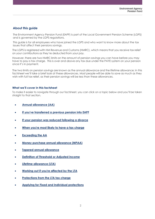# **About this guide**

The Environment Agency Pension Fund (EAPF) is part of the Local Government Pension Scheme (LGPS) and is governed by the LGPS regulations.

This guide is for all employees who have joined the LGPS and who want to know more about the tax issues that affect their pensions savings.

The LGPS is registered with HM Revenue and Customs (HMRC), which means that you receive tax relief on your contributions as they're deducted from your pay.

However, there are two HMRC limits on the amount of pension savings you can have before you may have to pay a tax charge. This is over and above any tax due under the PAYE system on your pension once it's in payment.

The two limits on pension savings are known as the annual allowance and the lifetime allowance; in this factsheet we'll take a brief look at these allowances. Most people will be able to save as much as they wish with full tax relief, as their pension savings will be less than these allowances.

# **What we'll cover in this factsheet**

To make it easier to navigate through our factsheet, you can click on a topic below and you'll be taken straight to that section.

- **[Annual allowance \(AA\)](#page-2-0)**
- **[If you've transferred a previous pension into EAPF](#page-3-0)**
- **[If your pension was reduced following a divorce](#page-3-1)**
- **[When you're most likely to have a tax charge](#page-4-0)**
- **[Exceeding the AA](#page-4-1)**
- **[Money purchase annual allowance \(MPAA\)](#page-6-0)**
- **[Tapered annual allowance](#page-7-0)**
- **[Definition of Threshold or Adjusted income](#page-7-1)**
- **[Lifetime allowance \(LTA\)](#page-7-2)**
- **[Working out if you're affected by the LTA](#page-8-0)**
- **[Protections from the LTA tax charge](#page-8-1)**
- **[Applying for Fixed and Individual protections](#page-9-0)**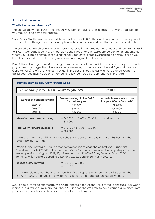# <span id="page-2-0"></span>**Annual allowance**

# **What is the annual allowance?**

The annual allowance (AA) is the amount your pension savings can increase in any one year before you may have to pay a tax charge.

Since April 2014, the AA has been at its current level of £40,000. The AA also applies in the year you take your benefits, although there's an exemption in the case of severe ill health retirement or on death.

The period over which pension savings are measured is the same as the tax year and runs from 6 April to 5 April. Generally speaking, any pension benefits you have in tax registered pension arrangements where you've paid contributions during the tax year (or your employer has paid contributions on your behalf) are included in calculating your pension savings in that tax year.

Even if the value of your pension savings increase by more than the AA in a year, you may not have to pay an AA tax charge. This is because you can use any unused AA from the last 3 years (known as Carry Forward) to offset any excess savings in the current year. To carry forward unused AA from an earlier year, you must've been a member of a tax registered pension scheme in that year.

# **Example showing how 'Carry Forward' works**

**Pension savings in the EAPF @ 5 April 2022 (2021/22)** |  $\pounds60,000$ 

**Tax year of pension savings Pension savings in the EAPF for that tax year Unused allowance from that tax year (Carry Forward)\***  2020/21 £25,000 £15,000 2019/20 **£28,000** £28,000 £12,000 2018/19 **£32,000 £33,000** £8,000

**'Gross' excess pension savings** = £60,000 - £40,000 (2021/22 annual allowance) = **£20,000**

**Total Carry Forward available** = £15,000 + £12,000 + £8,000 **= £35,000**

In this example there will be no AA tax charge to pay as the Carry Forward is higher than the excess pension savings.

Where Carry Forward is used to offset excess pension savings, the earliest year is used first. Therefore, as only £20,000 of the member's Carry Forward was needed to completely offset their excess pension savings for 2021/22, this means that £15,000 of Carry Forward from 2020/21 still remains, which could be used to offset any excess pension savings in 2022/23.

| <b>Unused Carry Forward</b> | $=$ £35,000 - £20,000 |  |
|-----------------------------|-----------------------|--|
|                             | $= £15,000$           |  |

\*This example assumes that the member hasn't built up any other pension savings during the 2018/19 – 2020/21 tax years, nor were they subject to the 'tapered' annual allowance.

Most people won't be affected by the AA tax charge because the value of their pension savings won't increase in a tax year by more than the AA. If it does, they're likely to have unused allowance from previous tax years that can be carried forward to offset any excess.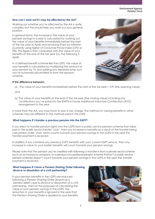# **How can I work out if I may be affected by the AA?**

Working out whether you're affected by the AA is quite complex, but this should help you work out your general position.

In general terms, the increase in the value of your pension savings in a year is calculated by working out the value of your benefits immediately before the start of the tax year (6 April) and revaluing them by inflation (currently using higher of Consumer Prices Index (CPI) or 0%). This figure is then compared with the value of your benefits at the end of the tax year (i.e. the following 5 April).

In a defined benefit scheme like the LGPS, the value of your benefits is calculated by multiplying the amount of your pension by 16 and adding any separate lump sum you're automatically entitled to from the pension scheme.



#### **If the difference between:**

a) The value of your benefits immediately before the start of the tax year + CPI (the opening value);

and

b) The value of your benefits at the end of the tax year (the closing value) including any contributions you've paid into the EAPFs in-house Additional Voluntary Contribution (AVC) arrangement in the year

is more than the AA, you may have to pay a tax charge. The method of valuing benefits in other schemes may be different to the method used in the LGPS.

# <span id="page-3-0"></span>**What happens if I transfer a previous pension into the EAPF?**

If you elect to transfer pension rights into the LGPS from a public service pension scheme that takes part in the public sector transfer 'club', then any increase in benefits as a result of the transfer being calculated under 'club' terms counts towards your pension savings in the LGPS in the year the transfer payment is received.

In addition, if you combine any previous LGPS benefits with your current EAPF service, then any increase in value to your earlier benefits will count towards your pension savings.

Please note that the pension you're credited with following a transfer in from a private sector scheme (such as an insurance company, or a previous occupational pension scheme that isn't a public service pension scheme) doesn't count towards your pension savings in the LGPS in the year the transfer payment is received.

# <span id="page-3-1"></span>**What happens if I have a Pension Sharing Order following divorce or dissolution of a civil partnership?**

If your pension benefits in the LGPS are reduced following a Pension Sharing Order (known as a 'pension debit') due to divorce or dissolution of a civil partnership, then for the purposes of calculating the value of your pension savings in the LGPS, the reduction in your benefits is ignored in the year that the Pension Sharing Order is applied to your benefits.

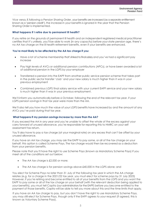Vice versa, if,following a Pension Sharing Order, your benefits are increased (as a separate entitlement known as a 'pension credit'), the increase in your benefits is ignored in the year that the Pension Sharing Order is implemented.

# **What happens if I retire due to permanent ill health?**

If you retire on the grounds of permanent ill health and an independent registered medical practitioner certifies that it's unlikely, you'll be able to work (in any capacity) before your state pension age, there's no AA tax charge on the ill health retirement benefits, even if your benefits are enhanced.

# <span id="page-4-0"></span> **You're most likely to be affected by the AA tax charge if you:**

- Have a lot of scheme membership that's linked to final salary and you've had a significant pay increase
- Pay high levels of AVCs or additional pension contributions (APCs), or have been awarded a lot of additional pension in the LGPS by your employer
- Transferred a pension into the EAPF from another public service pension scheme that takes part in the public sector transfer 'club' and your new salary is much higher than it was in your previous employment
- Combined previous LGPS final salary service with your current EAPF service and your new salary is much higher than it was in your previous employment.

We'll inform you automatically before 6 October, following the end of the relevant tax year, if your LGPS pension savings in that tax year were more than the AA.

We'll also tell you how much the value of your LGPS benefits have increased by and the amount of any AVCs you've paid during that tax year.

#### <span id="page-4-1"></span>**What happens if my pension savings increase by more than the AA?**

If you exceed the AA in any year and you're unable to offset the whole of the excess against your carry forward of unused allowance, you're responsible for reporting this to HMRC on your self assessment tax return.

You'll also have to pay a tax charge (at your marginal rate) on any excess that can't be offset by your unused allowance.

If you have an AA tax charge, you may ask the EAPF to pay some, or all of the tax charge on your behalf; this option is called Scheme Pays. The tax charge would then be recovered as a deduction from your pension benefits.

Please note that you'll have the right to use Scheme Pays (known as Mandatory Scheme Pays) if you meet all of the conditions set out below:

- The AA tax charge is £2,000 or more;
- The AA tax charge is for pension savings above £40,000 in the LGPS alone; and

You elect for Scheme Pays no later than 31 July of the following tax year in which the AA charge relates (e.g. for a charge in the 2021/22 tax year, you must elect for scheme pays by 31 July 2023) However, if you're retiring and become entitled to all of your benefits from the LGPS and you want the EAPF to pay some or all of the tax charge on your behalf (with the relevant deduction being applied to your benefits), you must tell Capita (our administrators for the EAPF) before you become entitled to the payment of those benefits. Capita will be able to tell you more about this and the time limits that apply.

If you have an AA tax charge to pay, but you don't have the right to use Mandatory Scheme Pays, you may still elect for Scheme Pays, though only if the EAPF agrees to your request (if agreed, this is known as Voluntary Scheme Pays).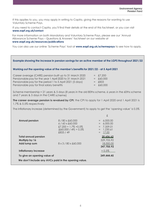If this applies to you, you may apply in writing to Capita, giving the reasons for wanting to use Voluntary Scheme Pays.

If you need to contact Capita, you'll find their details at the end of this factsheet, or you can visit **[www.eapf.org.uk/contact](file://Hartdarfp01/teams/TP%20Shared%20Area/TP%20Marketing/Environment%20Agency/Editorial%20Review%20Board%20(ERB)/2022/www.eapf.org.uk/contact)**

For more information on both Mandatory and Voluntary Scheme Pays, please see our 'Annual Allowance Scheme Pays – Questions & Answers' factsheet on our website at **[www.eapf.org.uk/resources/publications](http://www.eapf.org.uk/resources/publications)** 

You can also use our online 'Scheme Pays' tool at **[www.eapf.org.uk/schemepays](http://www.eapf.org.uk/schemepays)** to see how to apply.

| Example showing the increase in pension savings for an active member of the LGPS throughout 2021/22                                                                                                                             |                                                                                                             |                                                                                                                  |  |  |
|---------------------------------------------------------------------------------------------------------------------------------------------------------------------------------------------------------------------------------|-------------------------------------------------------------------------------------------------------------|------------------------------------------------------------------------------------------------------------------|--|--|
| Working out the opening value of the member's benefits for 2021/22 - at 5 April 2021                                                                                                                                            |                                                                                                             |                                                                                                                  |  |  |
| Career average (CARE) pension built up to 31 March 2020<br>Pensionable pay for the year 1 April 2020 to 31 March 2021<br>Pensionable pay for the period 1 to 5 April 2021 (5 days)<br>Pensionable pay for final salary benefits |                                                                                                             | $=$ £7,200<br>$=$ £60,000<br>$=$ £833<br>£60,000<br>$=$                                                          |  |  |
| Scheme membership = 21 years & 5 days (8 years in the old 80ths scheme, 6 years in the 60ths scheme<br>and 7 years & 5 days in the CARE scheme)                                                                                 |                                                                                                             |                                                                                                                  |  |  |
| 1.7% & 0.5% respectively                                                                                                                                                                                                        |                                                                                                             | The career average pension is revalued by CPI; the CPI to apply for 1 April 2020 and 1 April 2021 is             |  |  |
| The inflationary increase (determined by the Government) to apply to get the 'opening value' is 0.5%                                                                                                                            |                                                                                                             |                                                                                                                  |  |  |
|                                                                                                                                                                                                                                 |                                                                                                             | $\mathfrak x$                                                                                                    |  |  |
| <b>Annual pension</b>                                                                                                                                                                                                           | 8/80 x £60,000<br>$6/60 \times £60,000$<br>$£7,200 + 1.7\% + 0.5\%$<br>$(£60,000 / 49) + 0.5%$<br>£833 / 49 | 6,000.00<br>$=$<br>6,000.00<br>$=$<br>$= 7,359.01$<br>1,230.61<br>$\hspace{0.1cm} = \hspace{0.1cm}$<br>$= 17.00$ |  |  |
| <b>Total annual pension</b>                                                                                                                                                                                                     |                                                                                                             | 20.606.62                                                                                                        |  |  |
| Multiply by 16<br>Add lump sum                                                                                                                                                                                                  | 8 x 3 / 80 x £60,000                                                                                        | 329,705.92<br>18,000.00<br>347,705.92                                                                            |  |  |
| <b>Inflationary increase</b>                                                                                                                                                                                                    |                                                                                                             | $+0.5%$                                                                                                          |  |  |

**We don't include any AVCs paid in the opening value.** 

**To give an opening value of 349,444.45**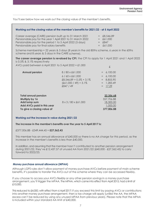£

You'll see below how we work out the closing value of the member's benefits.

| Working out the closing value of the member's benefits for 2021/22 - at 5 April 2022 |  |
|--------------------------------------------------------------------------------------|--|

| Career average (CARE) pension built up to 31 March 2021    | $=$ £8,546.89 |
|------------------------------------------------------------|---------------|
| Pensionable pay for the year 1 April 2021 to 31 March 2022 | $=$ £61.000   |
| Pensionable pay for the period 1 to 5 April 2022 (5 days)  | $=$ £847      |
| Pensionable pay for final salary benefits                  | $=$ £61.000   |

Scheme membership = 22 years & 5 days (8 years in the old 80ths scheme, 6 years in the 60ths scheme and 8 years & 5 days in the CARE scheme).

**The career average pension is revalued by CPI**; the CPI to apply for 1 April 2021 and 1 April 2022 is 0.5% & 3.1% respectively

AVCs paid between 6 April 2021 to 5 April 2022 =  $\pounds1,000$ 

| <b>Annual pension</b>       | 8/80 x £61,000                   | $= 6,100.00$ |
|-----------------------------|----------------------------------|--------------|
|                             | $6/60 \times £61,000$            | 6,100.00     |
|                             | £8,546.89 + $0.5\%$ + 3.1%       | 8,855.90     |
|                             | $(£61,000 / 49) + 3.1%$          | 1,283.49     |
|                             | £847/49                          | 17.29        |
|                             |                                  |              |
| <b>Total annual pension</b> |                                  | 22,356.68    |
| Multiply by 16              |                                  | 357,706.88   |
| Add lump sum                | $8 \times 3 / 80 \times £61,000$ | 18,300.00    |
| Add AVCs paid in this year  |                                  | 1,000.00     |
| To give a closing value of  |                                  | 377,006.88   |

#### **Working out the increase in value during 2021/22**

**The increase in the member's benefits over the year to 5 April 2017 is:** 

£377,006.88 - £349,444.45 = **£27,562.43**

This member has an annual allowance of £40,000 so there is no AA charge for this period, as the increase in the member's benefits is less than £40,000.

In addition, and assuming that the member hasn't contributed to another pension arrangement during 2021/22, they've £12,437.57 of unused AA from 2021/22 (£40,000 - £27,562.43) to carry forward to 2022/23.

#### <span id="page-6-0"></span>**Money purchase annual allowance (MPAA)**

Although LGPS rules don't allow payment of money purchase AVCs before payment of main scheme benefits, it's possible to transfer the AVCs out of the scheme where they can be accessed flexibly.

If you choose to access your AVCs flexibly or any other pension savings in a money purchase arrangement, you'll trigger the MPAA. The MPAA, which came into effect from April 2015, had a limit of £10,000.

This reduced to £4,000, with effect from 6 April 2017; if you exceed this limit by paying AVCs or contributions into another money purchase arrangement, then a tax charge will apply (unlike the AA, the MPAA excess can't be reduced by using any unused MPAA from previous years). Please note that the MPAA is included within your standard AA limit of £40,000.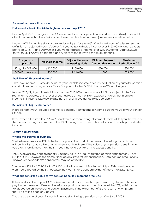# <span id="page-7-0"></span> **Tapered annual allowance**

# **Further reduction in the AA for high earners from April 2016**

From 6 April 2016, changes to the AA rules introduced a 'tapered annual allowance' (TAA) that could affect people with a taxable income above the 'threshold income' (please see definition below).

Under the TAA rules, the standard AA reduces by £1 for every £2 of 'adjusted income' (please see the definition of 'adjusted income', below). If you've got adjusted income over £150,000 for any tax years between 2016/17 and 2019/20 or if you've got adjusted income over £240,000 for tax years 2020/21 onwards, your AA will be tapered and subject to the following minimum amounts.

| Tax year(s)<br>applicable | <b>Threshold Income</b> | <b>Adjusted Income</b><br>- tapering starts | <b>Minimum Tapered</b><br><b>Annual Allowance</b> | Maximum<br><b>Reduction in AA</b> |
|---------------------------|-------------------------|---------------------------------------------|---------------------------------------------------|-----------------------------------|
| $2016/17 - 2019/20$       | £110,000                | £150,000                                    | £10,000                                           | £30,000                           |
| 2020/21 onwards           | £200,000                | £240,000                                    | £4,000                                            | £36,000                           |

### <span id="page-7-1"></span>**Definition of 'Threshold income'**

'Threshold income', is broadly equal to your taxable income after the deduction of your total pension contributions (including any AVCs you've paid into the EAPFs in-house AVC) in a tax year.

Before 2020/21, if your threshold income was £110,000 or less, you wouldn't be subject to the TAA restriction, regardless of the level of your adjusted income. From 2020/21 onwards the threshold income limit rose to £200,000. Please note that anti-avoidance rules also apply.

#### **Definition of 'Adjusted income'**

In broad terms your 'adjusted income' is generally your threshold income plus the value of your pension savings.

If you exceed the standard AA we'll send you a pension savings statement which will tell you the value of the pension savings you made in the EAPF during the tax year that will count towards your adjusted income.

# <span id="page-7-2"></span> **Lifetime allowance**

#### **What is the lifetime allowance?**

The lifetime allowance (LTA) is the total capital value of all of the pension benefits you can have without having to pay a tax charge when you draw them. If the value of your pension benefits when you draw them is more than the LTA, you'll have to pay tax on the excess benefits.

The LTA covers any pension benefits you may have in all tax registered pension arrangements – not just the LGPS. However, this doesn't include any state retirement pension, state pension credit or any survivor's or dependant's pension you may be entitled to.

The current LTA for 2022/23 is £1,073,100 and will remain at this rate until 5 April 2026. Most people won't be affected by the LTA because they won't have pension savings of more than £1,073,100.

#### **What happens if the value of my pension benefits is more than the LTA?**

If the capital value of your EAPF retirement benefits are more than your remaining LTA you'll have to pay tax on the excess. If excess benefits are paid as a pension, the charge will be 25%, with income tax deducted on the ongoing pension payments. If the excess benefits are taken as a lump sum they'll be taxed once only at 55%.

You use up some of your LTA each time you start taking a pension on or after 6 April 2006.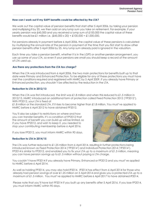# <span id="page-8-0"></span>**How can I work out if my EAPF benefits could be affected by the LTA?**

We work out the capital value of pension benefits that start after 5 April 2006, by taking your pension and multiplying it by 20, we then add on any lump sum you take on retirement. For example, if your yearly pension was £45,000 and you received a lump sum of £100,000 the capital value of these benefits would be £1 million i.e.  $(£45,000 \times 20) + £100,000 = £1,000,000$ .

For pensions already in payment before 6 April 2006, the capital value of these pensions is calculated by multiplying the annual rate of the pension in payment at the time that you first start to draw other pension benefits after 5 April 2006 by 25. Any lump sum already paid is ignored in the valuation.

Each time you take a pension benefit, whether it is in the LGPS or another pension arrangement, you use up some of your LTA, so even if your pensions are small you should keep a record of the amount of LTA used up.

#### <span id="page-8-1"></span>**Are there any protections from the LTA tax charge?**

When the LTA was introduced from 6 April 2006, the two main protections for benefits built up to that date were Primary and Enhanced Protection. To be eligible for any of these protections you must have met the conditions required and registered with HMRC by 5 April 2009. If you already have Primary or Enhanced protection, you shouldn't be affected by the reduction in the LTA.

#### **Reduction to LTA in 2012/13**

When the LTA was first introduced, the limit was £1.8 million and when this reduced to £1.5 million in 2012/13, HMRC introduced an additional form of protection called Fixed Protection 2012 ('FP2012'). With FP2012, your LTA is fixed at

£1.8 million or the standard LTA, if it rises to become higher than £1.8 million. You must've applied to HMRC before 6 April 2012 to have obtained FP2012.

You'll also be subject to restrictions on where and how you can transfer benefits. It's a condition of FP2012 that the amount of benefit you can build up will be limited, so if you have FP2012, and wish to keep it, you needed to stop your contributing membership before 6 April 2016.

If you lose FP2012, you must inform HMRC within 90 days.

#### **Reduction to LTA in 2014/15**



The LTA was further reduced to £1.25 million from 6 April 2014, resulting in further protections being introduced known as Fixed Protection 2014 ('FP2014') and Individual Protection 2014 ('IP2014'). FP2014 is similar to FP2012, and enabled you to fix your LTA up to a maximum of £1.5 million, meaning you can have pension savings up to £1.5 million without paying a LTA charge.

You couldn't have FP2014 if you already have Primary, Enhanced or FP2012 and you must've applied to HMRC before 6 April 2014.

 As well as holding FP2014, you may also hold IP2014. IP2014 has effect from 6 April 2014 for those who already had pension savings of over £1.25 million on 5 April 2014 and gives you a protected LTA up to a maximum of £1.5 million. You must've applied to HMRC before 6 April 2017 to have obtained IP2014.

Please note that you'll have lost FP2014 if you built up any benefits after 5 April 2016. If you lose FP2014, you must inform HMRC within 90 days.